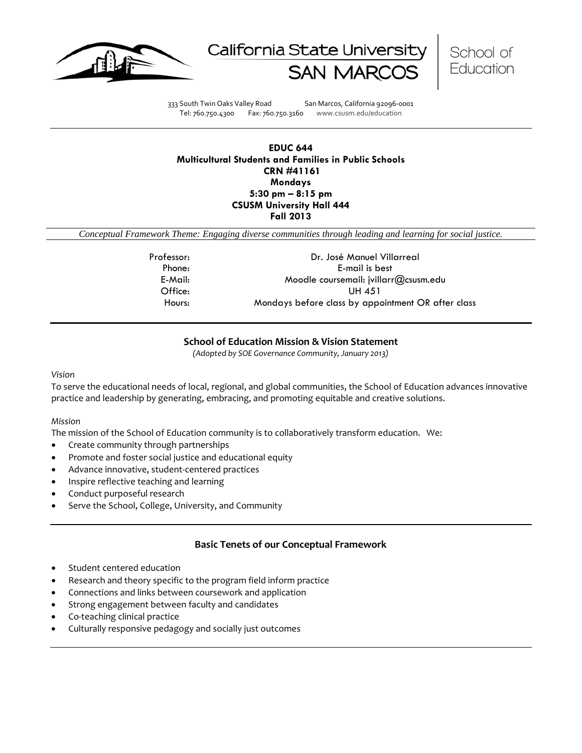





333 South Twin Oaks Valley Road San Marcos, California 92096-0001 Tel: 760.750.4300 Fax: 760.750.3160 www.csusm.edu/education

## **EDUC 644 Multicultural Students and Families in Public Schools CRN #41161 Mondays 5:30 pm – 8:15 pm CSUSM University Hall 444 Fall 2013**

*Conceptual Framework Theme: Engaging diverse communities through leading and learning for social justice.*

| Professor: | Dr. José Manuel Villarreal                         |
|------------|----------------------------------------------------|
| Phone:     | E-mail is best                                     |
| E-Mail:    | Moodle coursemail: jvillarr@csusm.edu              |
| Office:    | UH 451                                             |
| Hours:     | Mondays before class by appointment OR after class |

## **School of Education Mission & Vision Statement**

*(Adopted by SOE Governance Community, January 2013)*

#### *Vision*

To serve the educational needs of local, regional, and global communities, the School of Education advances innovative practice and leadership by generating, embracing, and promoting equitable and creative solutions.

#### *Mission*

The mission of the School of Education community is to collaboratively transform education. We:

- Create community through partnerships
- Promote and foster social justice and educational equity
- Advance innovative, student-centered practices
- Inspire reflective teaching and learning
- Conduct purposeful research
- Serve the School, College, University, and Community

## **Basic Tenets of our Conceptual Framework**

- Student centered education
- Research and theory specific to the program field inform practice
- Connections and links between coursework and application
- Strong engagement between faculty and candidates
- Co-teaching clinical practice
- Culturally responsive pedagogy and socially just outcomes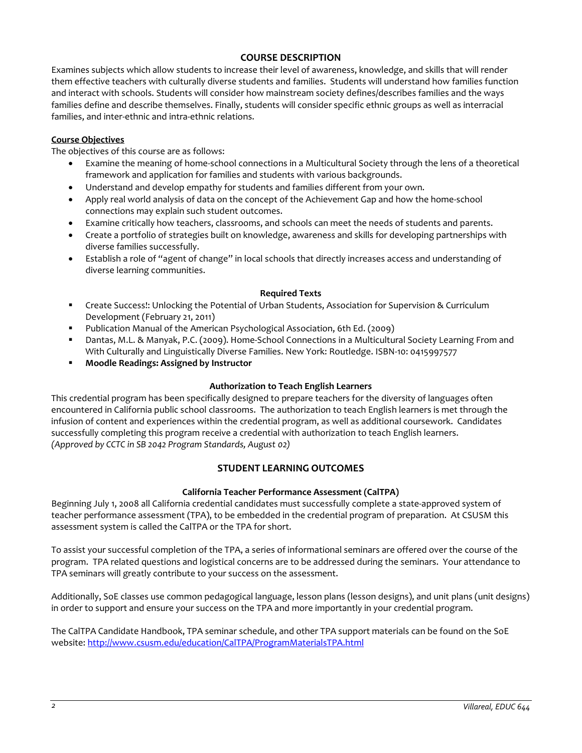## **COURSE DESCRIPTION**

Examines subjects which allow students to increase their level of awareness, knowledge, and skills that will render them effective teachers with culturally diverse students and families. Students will understand how families function and interact with schools. Students will consider how mainstream society defines/describes families and the ways families define and describe themselves. Finally, students will consider specific ethnic groups as well as interracial families, and inter-ethnic and intra-ethnic relations.

## **Course Objectives**

The objectives of this course are as follows:

- Examine the meaning of home-school connections in a Multicultural Society through the lens of a theoretical framework and application for families and students with various backgrounds.
- Understand and develop empathy for students and families different from your own.
- Apply real world analysis of data on the concept of the Achievement Gap and how the home-school connections may explain such student outcomes.
- Examine critically how teachers, classrooms, and schools can meet the needs of students and parents.
- Create a portfolio of strategies built on knowledge, awareness and skills for developing partnerships with diverse families successfully.
- Establish a role of "agent of change" in local schools that directly increases access and understanding of diverse learning communities.

#### **Required Texts**

- Create Success!: Unlocking the Potential of Urban Students, Association for Supervision & Curriculum Development (February 21, 2011)
- Publication Manual of the American Psychological Association, 6th Ed. (2009)
- Dantas, M.L. & Manyak, P.C. (2009). Home-School Connections in a Multicultural Society Learning From and With Culturally and Linguistically Diverse Families. New York: Routledge. ISBN-10: 0415997577
- **Moodle Readings: Assigned by Instructor**

## **Authorization to Teach English Learners**

This credential program has been specifically designed to prepare teachers for the diversity of languages often encountered in California public school classrooms. The authorization to teach English learners is met through the infusion of content and experiences within the credential program, as well as additional coursework. Candidates successfully completing this program receive a credential with authorization to teach English learners. *(Approved by CCTC in SB 2042 Program Standards, August 02)*

# **STUDENT LEARNING OUTCOMES**

## **California Teacher Performance Assessment (CalTPA)**

Beginning July 1, 2008 all California credential candidates must successfully complete a state-approved system of teacher performance assessment (TPA), to be embedded in the credential program of preparation. At CSUSM this assessment system is called the CalTPA or the TPA for short.

To assist your successful completion of the TPA, a series of informational seminars are offered over the course of the program. TPA related questions and logistical concerns are to be addressed during the seminars. Your attendance to TPA seminars will greatly contribute to your success on the assessment.

Additionally, SoE classes use common pedagogical language, lesson plans (lesson designs), and unit plans (unit designs) in order to support and ensure your success on the TPA and more importantly in your credential program.

The CalTPA Candidate Handbook, TPA seminar schedule, and other TPA support materials can be found on the SoE website: <http://www.csusm.edu/education/CalTPA/ProgramMaterialsTPA.html>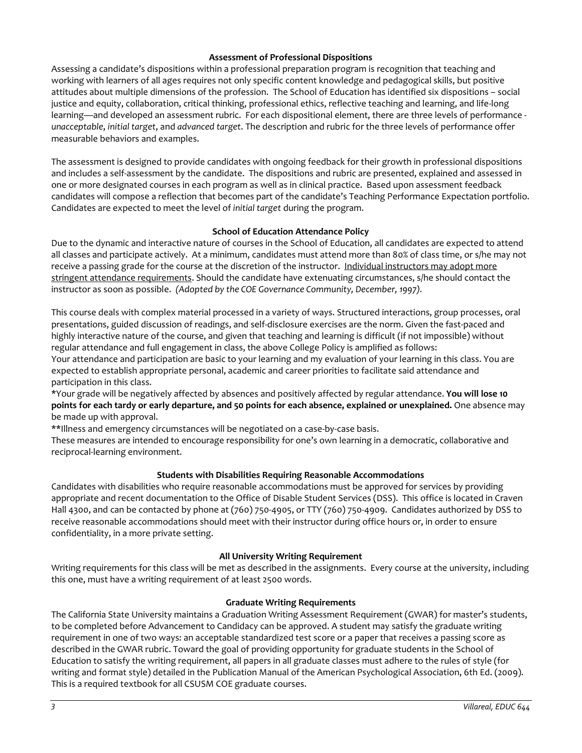## **Assessment of Professional Dispositions**

Assessing a candidate's dispositions within a professional preparation program is recognition that teaching and working with learners of all ages requires not only specific content knowledge and pedagogical skills, but positive attitudes about multiple dimensions of the profession. The School of Education has identified six dispositions – social justice and equity, collaboration, critical thinking, professional ethics, reflective teaching and learning, and life-long learning—and developed an assessment rubric. For each dispositional element, there are three levels of performance *unacceptable*, *initial target*, and *advanced target*. The description and rubric for the three levels of performance offer measurable behaviors and examples.

The assessment is designed to provide candidates with ongoing feedback for their growth in professional dispositions and includes a self-assessment by the candidate. The dispositions and rubric are presented, explained and assessed in one or more designated courses in each program as well as in clinical practice. Based upon assessment feedback candidates will compose a reflection that becomes part of the candidate's Teaching Performance Expectation portfolio. Candidates are expected to meet the level of *initial target* during the program.

## **School of Education Attendance Policy**

Due to the dynamic and interactive nature of courses in the School of Education, all candidates are expected to attend all classes and participate actively. At a minimum, candidates must attend more than 80% of class time, or s/he may not receive a passing grade for the course at the discretion of the instructor. Individual instructors may adopt more stringent attendance requirements. Should the candidate have extenuating circumstances, s/he should contact the instructor as soon as possible. *(Adopted by the COE Governance Community, December, 1997).*

This course deals with complex material processed in a variety of ways. Structured interactions, group processes, oral presentations, guided discussion of readings, and self-disclosure exercises are the norm. Given the fast-paced and highly interactive nature of the course, and given that teaching and learning is difficult (if not impossible) without regular attendance and full engagement in class, the above College Policy is amplified as follows: Your attendance and participation are basic to your learning and my evaluation of your learning in this class. You are expected to establish appropriate personal, academic and career priorities to facilitate said attendance and participation in this class.

\*Your grade will be negatively affected by absences and positively affected by regular attendance. **You will lose 10 points for each tardy or early departure, and 50 points for each absence, explained or unexplained.** One absence may be made up with approval.

\*\*Illness and emergency circumstances will be negotiated on a case-by-case basis.

These measures are intended to encourage responsibility for one's own learning in a democratic, collaborative and reciprocal-learning environment.

## **Students with Disabilities Requiring Reasonable Accommodations**

Candidates with disabilities who require reasonable accommodations must be approved for services by providing appropriate and recent documentation to the Office of Disable Student Services (DSS). This office is located in Craven Hall 4300, and can be contacted by phone at (760) 750-4905, or TTY (760) 750-4909. Candidates authorized by DSS to receive reasonable accommodations should meet with their instructor during office hours or, in order to ensure confidentiality, in a more private setting.

## **All University Writing Requirement**

Writing requirements for this class will be met as described in the assignments. Every course at the university, including this one, must have a writing requirement of at least 2500 words.

## **Graduate Writing Requirements**

The California State University maintains a Graduation Writing Assessment Requirement (GWAR) for master's students, to be completed before Advancement to Candidacy can be approved. A student may satisfy the graduate writing requirement in one of two ways: an acceptable standardized test score or a paper that receives a passing score as described in the GWAR rubric. Toward the goal of providing opportunity for graduate students in the School of Education to satisfy the writing requirement, all papers in all graduate classes must adhere to the rules of style (for writing and format style) detailed in the Publication Manual of the American Psychological Association, 6th Ed. (2009). This is a required textbook for all CSUSM COE graduate courses.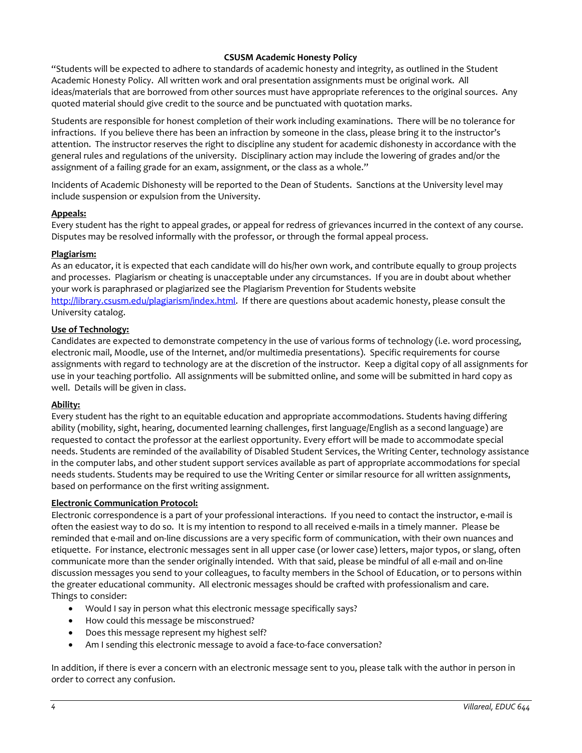## **CSUSM Academic Honesty Policy**

"Students will be expected to adhere to standards of academic honesty and integrity, as outlined in the Student Academic Honesty Policy. All written work and oral presentation assignments must be original work. All ideas/materials that are borrowed from other sources must have appropriate references to the original sources. Any quoted material should give credit to the source and be punctuated with quotation marks.

Students are responsible for honest completion of their work including examinations. There will be no tolerance for infractions. If you believe there has been an infraction by someone in the class, please bring it to the instructor's attention. The instructor reserves the right to discipline any student for academic dishonesty in accordance with the general rules and regulations of the university. Disciplinary action may include the lowering of grades and/or the assignment of a failing grade for an exam, assignment, or the class as a whole."

Incidents of Academic Dishonesty will be reported to the Dean of Students. Sanctions at the University level may include suspension or expulsion from the University.

## **Appeals:**

Every student has the right to appeal grades, or appeal for redress of grievances incurred in the context of any course. Disputes may be resolved informally with the professor, or through the formal appeal process.

## **Plagiarism:**

As an educator, it is expected that each candidate will do his/her own work, and contribute equally to group projects and processes. Plagiarism or cheating is unacceptable under any circumstances. If you are in doubt about whether your work is paraphrased or plagiarized see the Plagiarism Prevention for Students website [http://library.csusm.edu/plagiarism/index.html.](http://library.csusm.edu/plagiarism/index.html) If there are questions about academic honesty, please consult the University catalog.

## **Use of Technology:**

Candidates are expected to demonstrate competency in the use of various forms of technology (i.e. word processing, electronic mail, Moodle, use of the Internet, and/or multimedia presentations). Specific requirements for course assignments with regard to technology are at the discretion of the instructor. Keep a digital copy of all assignments for use in your teaching portfolio. All assignments will be submitted online, and some will be submitted in hard copy as well. Details will be given in class.

## **Ability:**

Every student has the right to an equitable education and appropriate accommodations. Students having differing ability (mobility, sight, hearing, documented learning challenges, first language/English as a second language) are requested to contact the professor at the earliest opportunity. Every effort will be made to accommodate special needs. Students are reminded of the availability of Disabled Student Services, the Writing Center, technology assistance in the computer labs, and other student support services available as part of appropriate accommodations for special needs students. Students may be required to use the Writing Center or similar resource for all written assignments, based on performance on the first writing assignment.

## **Electronic Communication Protocol:**

Electronic correspondence is a part of your professional interactions. If you need to contact the instructor, e-mail is often the easiest way to do so. It is my intention to respond to all received e-mails in a timely manner. Please be reminded that e-mail and on-line discussions are a very specific form of communication, with their own nuances and etiquette. For instance, electronic messages sent in all upper case (or lower case) letters, major typos, or slang, often communicate more than the sender originally intended. With that said, please be mindful of all e-mail and on-line discussion messages you send to your colleagues, to faculty members in the School of Education, or to persons within the greater educational community. All electronic messages should be crafted with professionalism and care. Things to consider:

- Would I say in person what this electronic message specifically says?
- How could this message be misconstrued?
- Does this message represent my highest self?
- Am I sending this electronic message to avoid a face-to-face conversation?

In addition, if there is ever a concern with an electronic message sent to you, please talk with the author in person in order to correct any confusion.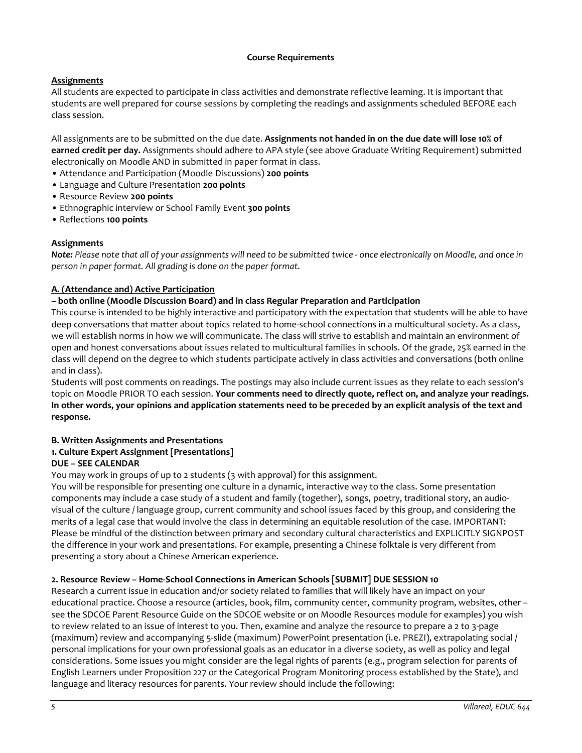## **Course Requirements**

# **Assignments**

All students are expected to participate in class activities and demonstrate reflective learning. It is important that students are well prepared for course sessions by completing the readings and assignments scheduled BEFORE each class session.

All assignments are to be submitted on the due date. **Assignments not handed in on the due date will lose 10% of earned credit per day.** Assignments should adhere to APA style (see above Graduate Writing Requirement) submitted electronically on Moodle AND in submitted in paper format in class.

- Attendance and Participation (Moodle Discussions) **200 points**
- Language and Culture Presentation **200 points**
- Resource Review **200 points**
- Ethnographic interview or School Family Event **300 points**
- Reflections **100 points**

## **Assignments**

*Note: Please note that all of your assignments will need to be submitted twice - once electronically on Moodle, and once in person in paper format. All grading is done on the paper format.* 

# **A. (Attendance and) Active Participation**

# **– both online (Moodle Discussion Board) and in class Regular Preparation and Participation**

This course is intended to be highly interactive and participatory with the expectation that students will be able to have deep conversations that matter about topics related to home-school connections in a multicultural society. As a class, we will establish norms in how we will communicate. The class will strive to establish and maintain an environment of open and honest conversations about issues related to multicultural families in schools. Of the grade, 25% earned in the class will depend on the degree to which students participate actively in class activities and conversations (both online and in class).

Students will post comments on readings. The postings may also include current issues as they relate to each session's topic on Moodle PRIOR TO each session. **Your comments need to directly quote, reflect on, and analyze your readings. In other words, your opinions and application statements need to be preceded by an explicit analysis of the text and response.**

# **B. Written Assignments and Presentations**

# **1. Culture Expert Assignment [Presentations]**

## **DUE – SEE CALENDAR**

You may work in groups of up to 2 students (3 with approval) for this assignment.

You will be responsible for presenting one culture in a dynamic, interactive way to the class. Some presentation components may include a case study of a student and family (together), songs, poetry, traditional story, an audiovisual of the culture / language group, current community and school issues faced by this group, and considering the merits of a legal case that would involve the class in determining an equitable resolution of the case. IMPORTANT: Please be mindful of the distinction between primary and secondary cultural characteristics and EXPLICITLY SIGNPOST the difference in your work and presentations. For example, presenting a Chinese folktale is very different from presenting a story about a Chinese American experience.

## **2. Resource Review – Home-School Connections in American Schools [SUBMIT] DUE SESSION 10**

Research a current issue in education and/or society related to families that will likely have an impact on your educational practice. Choose a resource (articles, book, film, community center, community program, websites, other – see the SDCOE Parent Resource Guide on the SDCOE website or on Moodle Resources module for examples) you wish to review related to an issue of interest to you. Then, examine and analyze the resource to prepare a 2 to 3-page (maximum) review and accompanying 5-slide (maximum) PowerPoint presentation (i.e. PREZI), extrapolating social / personal implications for your own professional goals as an educator in a diverse society, as well as policy and legal considerations. Some issues you might consider are the legal rights of parents (e.g., program selection for parents of English Learners under Proposition 227 or the Categorical Program Monitoring process established by the State), and language and literacy resources for parents. Your review should include the following: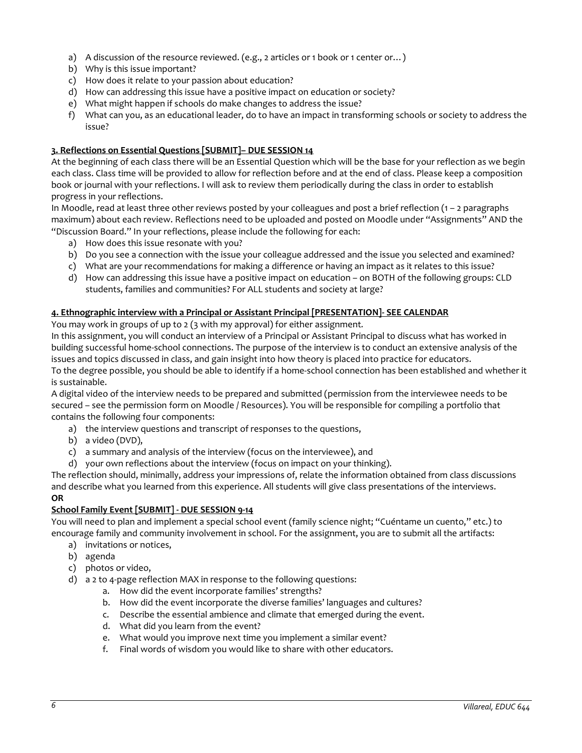- a) A discussion of the resource reviewed. (e.g., 2 articles or 1 book or 1 center or...)
- b) Why is this issue important?
- c) How does it relate to your passion about education?
- d) How can addressing this issue have a positive impact on education or society?
- e) What might happen if schools do make changes to address the issue?
- f) What can you, as an educational leader, do to have an impact in transforming schools or society to address the issue?

#### **3. Reflections on Essential Questions [SUBMIT]– DUE SESSION 14**

At the beginning of each class there will be an Essential Question which will be the base for your reflection as we begin each class. Class time will be provided to allow for reflection before and at the end of class. Please keep a composition book or journal with your reflections. I will ask to review them periodically during the class in order to establish progress in your reflections.

In Moodle, read at least three other reviews posted by your colleagues and post a brief reflection (1 – 2 paragraphs maximum) about each review. Reflections need to be uploaded and posted on Moodle under "Assignments" AND the "Discussion Board." In your reflections, please include the following for each:

- a) How does this issue resonate with you?
- b) Do you see a connection with the issue your colleague addressed and the issue you selected and examined?
- c) What are your recommendations for making a difference or having an impact as it relates to this issue?
- d) How can addressing this issue have a positive impact on education on BOTH of the following groups: CLD students, families and communities? For ALL students and society at large?

#### **4. Ethnographic interview with a Principal or Assistant Principal [PRESENTATION]- SEE CALENDAR**

You may work in groups of up to 2 (3 with my approval) for either assignment*.* 

In this assignment, you will conduct an interview of a Principal or Assistant Principal to discuss what has worked in building successful home-school connections. The purpose of the interview is to conduct an extensive analysis of the issues and topics discussed in class, and gain insight into how theory is placed into practice for educators. To the degree possible, you should be able to identify if a home-school connection has been established and whether it is sustainable.

A digital video of the interview needs to be prepared and submitted (permission from the interviewee needs to be secured – see the permission form on Moodle / Resources). You will be responsible for compiling a portfolio that contains the following four components:

- a) the interview questions and transcript of responses to the questions,
- b) a video (DVD),
- c) a summary and analysis of the interview (focus on the interviewee), and
- d) your own reflections about the interview (focus on impact on your thinking).

The reflection should, minimally, address your impressions of, relate the information obtained from class discussions and describe what you learned from this experience. All students will give class presentations of the interviews. **OR** 

## **School Family Event [SUBMIT] - DUE SESSION 9-14**

You will need to plan and implement a special school event (family science night; "Cuéntame un cuento," etc.) to encourage family and community involvement in school. For the assignment, you are to submit all the artifacts:

- a) invitations or notices,
- b) agenda
- c) photos or video,
- d) a 2 to 4-page reflection MAX in response to the following questions:
	- a. How did the event incorporate families' strengths?
	- b. How did the event incorporate the diverse families' languages and cultures?
	- c. Describe the essential ambience and climate that emerged during the event.
	- d. What did you learn from the event?
	- e. What would you improve next time you implement a similar event?
	- f. Final words of wisdom you would like to share with other educators.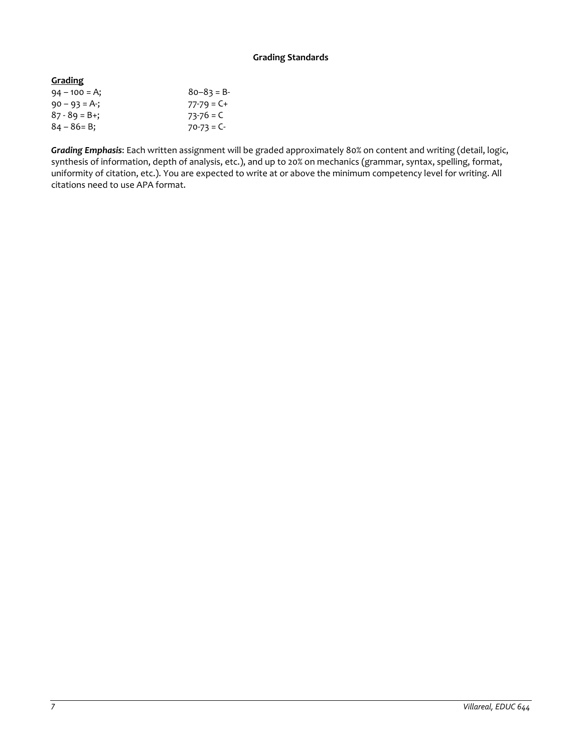## **Grading Standards**

| <b>Grading</b>    |                 |
|-------------------|-----------------|
| $94 - 100 = A$ ;  | $80 - 83 = B$   |
| $90 - 93 = A$ -;  | $77 - 79 = C +$ |
| $87 - 89 = B +$ ; | $73-76 = C$     |
| $84 - 86 = B$ ;   | $70-73 = C$     |
|                   |                 |

*Grading Emphasis*: Each written assignment will be graded approximately 80% on content and writing (detail, logic, synthesis of information, depth of analysis, etc.), and up to 20% on mechanics (grammar, syntax, spelling, format, uniformity of citation, etc.). You are expected to write at or above the minimum competency level for writing. All citations need to use APA format.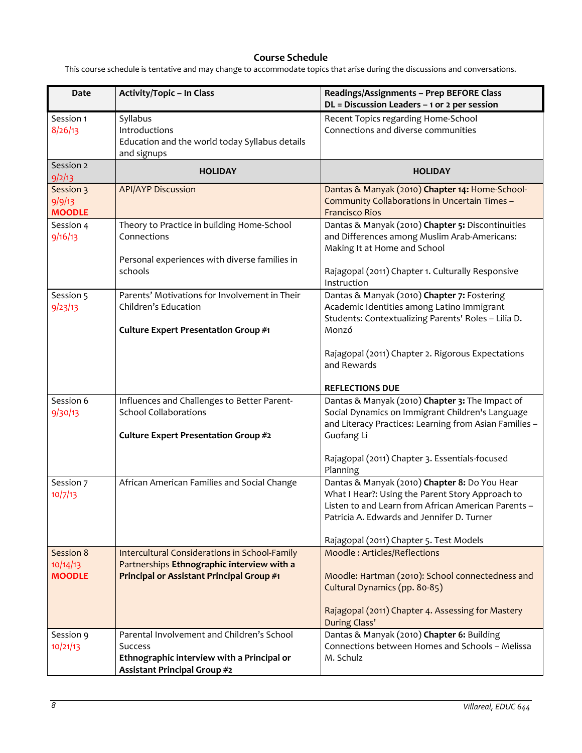# **Course Schedule**

This course schedule is tentative and may change to accommodate topics that arise during the discussions and conversations.

| Date                                 | <b>Activity/Topic - In Class</b>                                                                                                           | Readings/Assignments - Prep BEFORE Class<br>$DL = Discussion$ Leaders - 1 or 2 per session                                                                                                             |
|--------------------------------------|--------------------------------------------------------------------------------------------------------------------------------------------|--------------------------------------------------------------------------------------------------------------------------------------------------------------------------------------------------------|
| Session 1<br>8/26/13                 | Syllabus<br>Introductions<br>Education and the world today Syllabus details<br>and signups                                                 | Recent Topics regarding Home-School<br>Connections and diverse communities                                                                                                                             |
| Session 2<br>9/2/13                  | <b>HOLIDAY</b>                                                                                                                             | <b>HOLIDAY</b>                                                                                                                                                                                         |
| Session 3<br>9/9/13<br><b>MOODLE</b> | <b>API/AYP Discussion</b>                                                                                                                  | Dantas & Manyak (2010) Chapter 14: Home-School-<br>Community Collaborations in Uncertain Times -<br><b>Francisco Rios</b>                                                                              |
| Session 4<br>9/16/13                 | Theory to Practice in building Home-School<br>Connections<br>Personal experiences with diverse families in<br>schools                      | Dantas & Manyak (2010) Chapter 5: Discontinuities<br>and Differences among Muslim Arab-Americans:<br>Making It at Home and School<br>Rajagopal (2011) Chapter 1. Culturally Responsive                 |
| Session 5<br>9/23/13                 | Parents' Motivations for Involvement in Their<br>Children's Education<br>Culture Expert Presentation Group #1                              | Instruction<br>Dantas & Manyak (2010) Chapter 7: Fostering<br>Academic Identities among Latino Immigrant<br>Students: Contextualizing Parents' Roles - Lilia D.<br>Monzó                               |
|                                      |                                                                                                                                            | Rajagopal (2011) Chapter 2. Rigorous Expectations<br>and Rewards<br><b>REFLECTIONS DUE</b>                                                                                                             |
| Session 6<br>9/30/13                 | Influences and Challenges to Better Parent-<br><b>School Collaborations</b><br>Culture Expert Presentation Group #2                        | Dantas & Manyak (2010) Chapter 3: The Impact of<br>Social Dynamics on Immigrant Children's Language<br>and Literacy Practices: Learning from Asian Families -<br>Guofang Li                            |
|                                      |                                                                                                                                            | Rajagopal (2011) Chapter 3. Essentials-focused<br>Planning                                                                                                                                             |
| Session 7<br>10/7/13                 | African American Families and Social Change                                                                                                | Dantas & Manyak (2010) Chapter 8: Do You Hear<br>What I Hear?: Using the Parent Story Approach to<br>Listen to and Learn from African American Parents -<br>Patricia A. Edwards and Jennifer D. Turner |
| Session 8                            | Intercultural Considerations in School-Family                                                                                              | Rajagopal (2011) Chapter 5. Test Models<br>Moodle: Articles/Reflections                                                                                                                                |
| 10/14/13<br><b>MOODLE</b>            | Partnerships Ethnographic interview with a<br>Principal or Assistant Principal Group #1                                                    | Moodle: Hartman (2010): School connectedness and<br>Cultural Dynamics (pp. 80-85)                                                                                                                      |
|                                      |                                                                                                                                            | Rajagopal (2011) Chapter 4. Assessing for Mastery<br>During Class'                                                                                                                                     |
| Session 9<br>10/21/13                | Parental Involvement and Children's School<br><b>Success</b><br>Ethnographic interview with a Principal or<br>Assistant Principal Group #2 | Dantas & Manyak (2010) Chapter 6: Building<br>Connections between Homes and Schools - Melissa<br>M. Schulz                                                                                             |